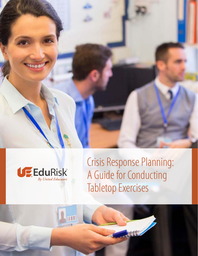



Crisis Response Planning: A Guide for Conducting Tabletop Exercises

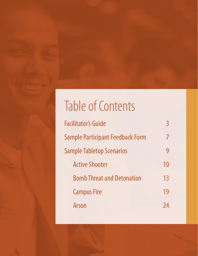# Table of Contents

| 10 |
|----|
| 13 |
| 19 |
|    |
|    |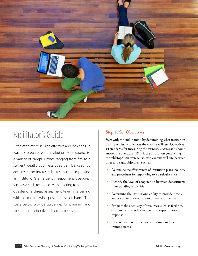<span id="page-2-0"></span>

## Facilitator's Guide

A tabletop exercise is an effective and inexpensive way to prepare your institution to respond to a variety of campus crises ranging from fire to a student death. Such exercises can be used by administrators interested in testing and improving an institution's emergency response procedures, such as a crisis response team reacting to a natural disaster or a threat assessment team intervening with a student who poses a risk of harm. The steps below provide guidelines for planning and executing an effective tabletop exercise.

## **Step 1: Set Objectives**

Start with the end in mind by determining what institution plans, policies, or practices the exercise will test. Objectives set standards for measuring the exercise's success and should answer the question: "Why is the institution conducting the tabletop?" An average tabletop exercise will cite between three and eight objectives, such as:

- **EXECUTE:** Determine the effectiveness of institution plans, policies, and procedures for responding to a particular crisis
- **IDENTIFY** the level of cooperation between departments in responding to a crisis
- **•** Determine the institution's ability to provide timely and accurate information to different audiences
- 4 Evaluate the adequacy of resources, such as facilities, equipment, and other materials to support crisis response
- 4 Increase awareness of crisis procedures and identify training needs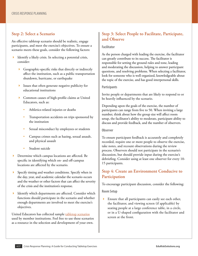### **Step 2: Select a Scenario**

An effective tabletop scenario should be realistic, engage participants, and meet the exercise's objectives. To ensure a scenario meets these goals, consider the following factors:

- Identify a likely crisis. In selecting a potential crisis, consider:
	- 4 Geographic-specific risks that directly or indirectly affect the institution, such as a public transportation shutdown, hurricane, or earthquake
	- 4 Issues that often generate negative publicity for educational institutions
	- Common causes of high-profile claims at United Educators, such as:
		- Athletics-related injuries or deaths
		- Transportation accidents on trips sponsored by the institution
		- Sexual misconduct by employees or students
		- Campus crimes such as hazing, sexual assault, and physical assault
		- Student suicide
- Determine which campus locations are affected. Be specific in identifying which on- and off-campus locations are affected by the scenario.
- Specify timing and weather conditions. Specify when in the day, year, and academic calendar the scenario occurs and the weather or other factors that can affect the severity of the crisis and the institution's response.
- 4 Identify which departments are affected. Consider which functions should participate in the scenario and whether enough departments are involved to meet the exercise's objectives.

United Educators has collected sample [tabletop scenarios](#page-8-0) used by member institutions. Feel free to use these scenarios as a resource in the selection and development of your own.

## **Step 3: Select People to Facilitate, Participate, and Observe**

#### **Facilitator**

As the person charged with leading the exercise, the facilitator can greatly contribute to its success. The facilitator is responsible for setting the ground rules and tone, leading and moderating the discussion, helping to answer participant questions, and resolving problems. When selecting a facilitator, look for someone who is well organized, knowledgeable about the topic of the exercise, and has good interpersonal skills.

#### **Participants**

Invite people or departments that are likely to respond to or be heavily influenced by the scenario.

Depending upon the goals of the exercise, the number of participants can range from five to 50. When inviting a large number, think about how the group size will affect room setup, the facilitator's ability to moderate, participant ability to discuss and provide feedback, and the number of observers.

#### **Observer**

To ensure participant feedback is accurately and completely recorded, require one or more people to observe the exercise, take notes, and recount observations during the review process. Observers should not participate in the scenario's discussion, but should provide input during the exercise's debriefing. Consider using at least one observer for every 10- 15 participants.

## **Step 4: Create an Environment Conducive to Participation**

To encourage participant discussion, consider the following:

#### **Room Setup**

4 Ensure that all participants can easily see each other, the facilitator, and viewing screen (if applicable) by seating people at a large conference table, in a circle, or in a U-shaped configuration with the facilitator and screen at the front.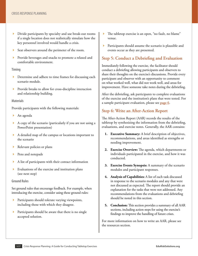- 4 Divide participants by specialty and use break-out rooms if a single location does not realistically simulate how the key personnel involved would handle a crisis.
- 4 Seat observers around the perimeter of the room.
- Provide beverages and snacks to promote a relaxed and comfortable environment.

#### **Timing**

- **EXECUTE:** Determine and adhere to time frames for discussing each scenario module.
- Provide breaks to allow for cross-discipline interaction and relationship building.

#### **Materials**

Provide participants with the following materials:

- An agenda
- 4 A copy of the scenario (particularly if you are not using a PowerPoint presentation)
- 4 A detailed map of the campus or locations important to the scenario
- 4 Relevant policies or plans
- Pens and notepads
- 4 A list of participants with their contact information
- Evaluations of the exercise and institution plans (see next step)

#### **Ground Rules**

Set ground rules that encourage feedback. For example, when introducing the exercise, consider using these ground rules:

- Participants should tolerate varying viewpoints, including those with which they disagree.
- **EXECUTE:** Participants should be aware that there is no single accepted solution.
- The tabletop exercise is an open, "no fault, no blame" venue.
- **•** Participants should assume the scenario is plausible and events occur as they are presented.

## **Step 5: Conduct a Debriefing and Evaluation**

Immediately following the exercise, the facilitator should conduct a debriefing allowing participants and observers to share their thoughts on the exercise's discussions. Provide every participant and observer with an opportunity to comment on what worked well, what did not work well, and areas for improvement. Have someone take notes during the debriefing.

After the debriefing, ask participants to complete evaluations of the exercise and the institution's plans that were tested. For a sample participant evaluation, please see **page 6**.

## **Step 6: Write an After-Action Report**

The After-Action Report (AAR) records the results of the tabletop by synthesizing the information from the debriefing, evaluations, and exercise notes. Generally, the AAR contains:

- **1. Executive Summary:** A brief description of objectives, recommendations, and areas identified as strengths or needing improvement.
- **2. Exercise Overview:** The agenda, which departments or individuals participated in the exercise, and how it was conducted.
- **3. Exercise Events Synopsis:** A summary of the scenario modules and participant responses.
- **4. Analysis of Capabilities:** A list of each task discussed in response to the scenario modules and any that were not discussed as expected. The report should provide an explanation for the tasks that were not addressed. Any recommendations from the evaluations and debriefing should be noted in this section.
- **5. Conclusion:** This section provides a summary of all AAR sections, including action steps for using the exercise's findings to improve the handling of future crises.

For more information on how to write an AAR, please see the resources section.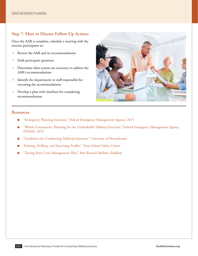## **Step 7: Meet to Discuss Follow-Up Actions**

Once the AAR is complete, schedule a meeting with the exercise participants to:

- Review the AAR and its recommendations
- Field participant questions
- **Determine what actions are necessary to address the** AAR's recommendations
- 4 Identify the departments or staff responsible for executing the recommendations
- 4 Develop a plan with timelines for completing recommendations



#### **Resources**

- ["Emergency Planning Exercises," Federal Emergency Management Agency, 2015](https://www.fema.gov/emergency-planning-exercises)
- "Whole Community: Planning for the Unthinkable Tabletop Exercises," Federal Emergency Management Agency [\(FEMA\), 2013](https://www.fema.gov/media-library/assets/documents/26762)
- n ["Guidelines for Conducting Tabletop Exercises," University of Pennsylvania](http://www.upenn.edu/missioncontinuity/documents/Penn_Mission_Continuity_TableTop_Exercise_Guidelines.pdf)
- n [Training, Drilling, and Exercising Toolkit," Texas School Safety Center](https://txssc.txstate.edu/tools/tde-toolkit/exercising)
- n ["Testing Your Crisis Management Plan,"](https://www.edurisksolutions.org/Templates/template-article.aspx?id=567) *Risk Research Bulletin*, EduRisk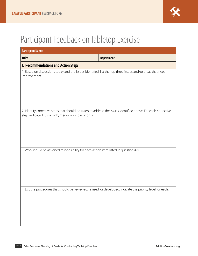## <span id="page-6-0"></span>Participant Feedback on Tabletop Exercise

| <b>Participant Name:</b>                                                                                                                                                  |                    |  |  |  |  |
|---------------------------------------------------------------------------------------------------------------------------------------------------------------------------|--------------------|--|--|--|--|
| Title:                                                                                                                                                                    | <b>Department:</b> |  |  |  |  |
| <b>I. Recommendations and Action Steps</b>                                                                                                                                |                    |  |  |  |  |
| 1. Based on discussions today and the issues identified, list the top three issues and/or areas that need<br>improvement.                                                 |                    |  |  |  |  |
| 2. Identify corrective steps that should be taken to address the issues identified above. For each corrective<br>step, indicate if it is a high, medium, or low priority. |                    |  |  |  |  |
| 3. Who should be assigned responsibility for each action item listed in question #2?                                                                                      |                    |  |  |  |  |
| 4. List the procedures that should be reviewed, revised, or developed. Indicate the priority level for each.                                                              |                    |  |  |  |  |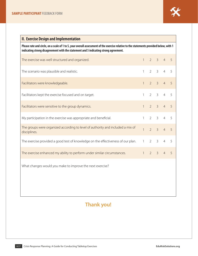| <b>II. Exercise Design and Implementation</b>                                                                                                                                                                                   |              |             |                |                |                |  |
|---------------------------------------------------------------------------------------------------------------------------------------------------------------------------------------------------------------------------------|--------------|-------------|----------------|----------------|----------------|--|
| Please rate and circle, on a scale of 1 to 5, your overall assessment of the exercise relative to the statements provided below, with 1<br>indicating strong disagreement with the statement and 5 indicating strong agreement. |              |             |                |                |                |  |
| The exercise was well structured and organized.                                                                                                                                                                                 | $\mathbf{1}$ |             | $2 \quad 3$    | $\overline{4}$ | $\overline{5}$ |  |
| The scenario was plausible and realistic.                                                                                                                                                                                       | $\mathbf{1}$ |             | $2 \quad 3$    | $\overline{4}$ | 5              |  |
| Facilitators were knowledgeable.                                                                                                                                                                                                | $\mathbf{1}$ |             | $2 \quad 3$    | $\overline{4}$ | 5              |  |
| Facilitators kept the exercise focused and on target.                                                                                                                                                                           | $\mathbf{1}$ | $2^{\circ}$ | $\mathcal{S}$  | $\overline{4}$ | 5              |  |
| Facilitators were sensitive to the group dynamics.                                                                                                                                                                              | $\mathbf{1}$ |             | $2 \quad 3$    | $\overline{4}$ | 5              |  |
| My participation in the exercise was appropriate and beneficial.                                                                                                                                                                | $\mathbf{1}$ | $2^{\circ}$ | 3 <sup>7</sup> | 4 <sup>1</sup> | 5              |  |
| The groups were organized according to level of authority and included a mix of<br>disciplines.                                                                                                                                 | $\mathbf{1}$ | $2^{\circ}$ | $\overline{3}$ | $\overline{4}$ | $\overline{5}$ |  |
| The exercise provided a good test of knowledge on the effectiveness of our plan.                                                                                                                                                | $\mathbf{1}$ | $2^{\circ}$ | $\mathcal{E}$  | $\overline{4}$ | 5              |  |
| The exercise enhanced my ability to perform under similar circumstances.                                                                                                                                                        | $\mathbf{1}$ |             | $2 \quad 3$    | $\overline{4}$ | 5              |  |
| What changes would you make to improve the next exercise?                                                                                                                                                                       |              |             |                |                |                |  |
|                                                                                                                                                                                                                                 |              |             |                |                |                |  |
|                                                                                                                                                                                                                                 |              |             |                |                |                |  |

## **Thank you!**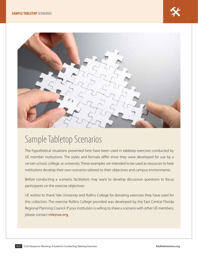<span id="page-8-0"></span>

## Sample Tabletop Scenarios

The hypothetical situations presented here have been used in tabletop exercises conducted by UE member institutions. The styles and formats differ since they were developed for use by a certain school, college, or university. These examples are intended to be used as resources to help institutions develop their own scenarios tailored to their objectives and campus environments.

Before conducting a scenario, facilitators may want to develop discussion questions to focus participants on the exercise objectives.

UE wishes to thank Yale University and Rollins College for donating exercises they have used for this collection. The exercise Rollins College provided was developed by the East Central Florida Regional Planning Council. If your institution is willing to share a scenario with other UE members, please contact **[risk@ue.org](mailto:risk%40ue.org?subject=)**.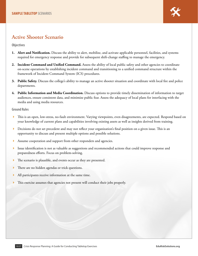

## <span id="page-9-0"></span>**Active Shooter Scenario**

**Objectives**

- **1. Alert and Notification.** Discuss the ability to alert, mobilize, and activate applicable personnel, facilities, and systems required for emergency response and provide for subsequent shift-change staffing to manage the emergency.
- **2. Incident Command and Unified Command.** Assess the ability of local public safety and other agencies to coordinate on-scene operations by establishing incident command and transitioning to a unified command structure within the framework of Incident Command System (ICS) procedures.
- **3. Public Safety.** Discuss the college's ability to manage an active shooter situation and coordinate with local fire and police departments.
- **4. Public Information and Media Coordination.** Discuss options to provide timely dissemination of information to target audiences, ensure consistent data, and minimize public fear. Assess the adequacy of local plans for interfacing with the media and using media resources.

**Ground Rules**

- 4 This is an open, low-stress, no-fault environment. Varying viewpoints, even disagreements, are expected. Respond based on your knowledge of current plans and capabilities involving existing assets as well as insights derived from training.
- **EXECUTE:** Decisions do not set precedent and may not reflect your organization's final position on a given issue. This is an opportunity to discuss and present multiple options and possible solutions.
- Assume cooperation and support from other responders and agencies.
- Issue identification is not as valuable as suggestions and recommended actions that could improve response and preparedness efforts. Focus on problem-solving.
- The scenario is plausible, and events occur as they are presented.
- There are no hidden agendas or trick questions.
- All participants receive information at the same time.
- This exercise assumes that agencies not present will conduct their jobs properly.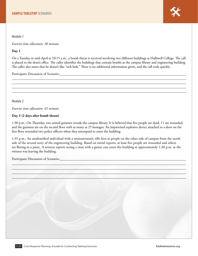**Module 1**

*Exercise time allocation: 30 minutes*

#### **Day 1**

On a Tuesday in mid-April at 10:15 a.m., a bomb threat is received involving two different buildings at Halliwell College. The call is placed to the dean's office. The caller identifies the buildings that contain bombs as the campus library and engineering building. The caller also states that he doesn't like "rich kids." There is no additional information given, and the call ends quickly.

Participant Discussion of Scenario:

**Module 2**

*Exercise time allocation: 45 minutes*

#### **Day 3 (2 days after bomb threat)**

1:30 p.m.: On Thursday, two armed gunmen invade the campus library. It is believed that five people are dead, 11 are wounded, and the gunmen are on the second floor with as many as 25 hostages. An improvised explosive device attached to a door on the first floor wounded two police officers when they attempted to enter the building.

1:35 p.m.: An unidentified individual with a semiautomatic rifle fires at people on the other side of campus from the north side of the second story of the engineering building. Based on initial reports, at least five people are wounded and others are fleeing in a panic. A witness reports seeing a man with a guitar case enter the building at approximately 1:30 p.m. as the witness was leaving the building.

Participant Discussion of Scenario: Change of Scenario Change of Scenario Change of Scenario Change of Scenario

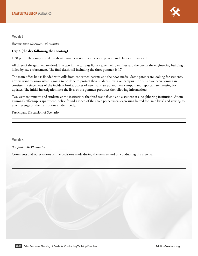

**Module 3**

*Exercise time allocation: 45 minutes*

#### **Day 4 (the day following the shooting)**

1:30 p.m.: The campus is like a ghost town. Few staff members are present and classes are canceled.

All three of the gunmen are dead. The two in the campus library take their own lives and the one in the engineering building is killed by law enforcement. The final death toll including the three gunmen is 17.

The main office line is flooded with calls from concerned parents and the news media. Some parents are looking for students. Others want to know what is going to be done to protect their students living on campus. The calls have been coming in consistently since news of the incident broke. Scores of news vans are parked near campus, and reporters are pressing for updates. The initial investigation into the lives of the gunmen produces the following information:

Two were roommates and students at the institution; the third was a friend and a student at a neighboring institution. At one gunman's off-campus apartment, police found a video of the three perpetrators expressing hatred for "rich kids" and vowing to exact revenge on the institution's student body.

Participant Discussion of Scenario:

**Module 4**

*Wrap-up: 20-30 minutes*

Comments and observations on the decisions made during the exercise and on conducting the exercise: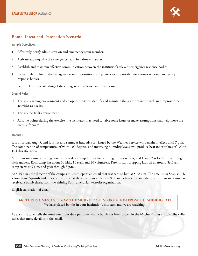

#### <span id="page-12-0"></span>**Bomb Threat and Detonation Scenario**

**Sample Objectives**

- 1. Effectively notify administration and emergency team members
- 2. Activate and organize the emergency team in a timely manner
- 3. Establish and maintain effective communication between the institution's relevant emergency response bodies
- 4. Evaluate the ability of the emergency team to prioritize its objectives to support the institution's relevant emergency response bodies
- 5. Gain a clear understanding of the emergency team's role in the response

#### **Ground Rules**

- 4 This is a learning environment and an opportunity to identify and maintain the activities we do well and improve other activities as needed.
- This is a no fault environment.
- At some points during the exercise, the facilitator may need to table some issues or make assumptions that help move the exercise forward.

#### **Module 1**

It is Thursday, Aug. 5, and it is hot and sunny. A heat advisory issued by the Weather Service will remain in effect until 7 p.m. The combination of temperatures of 95 to 100 degrees, and increasing humidity levels, will produce heat index values of 100 to 104 this afternoon.

A campus museum is hosting two camps today. Camp 1 is for first- through third-graders, and Camp 2 is for fourth- through sixth-graders. Each camp has about 60 kids, 10 staff, and 20 volunteers. Parents start dropping kids off at around 8:45 a.m.; camp starts at 9 a.m. and goes through 5 p.m.

At 8:45 a.m., the director of the campus museum opens an email that was sent to him at 5:48 a.m. The email is in Spanish. He knows some Spanish and quickly realizes what the email states. He calls 911 and advises dispatch that the campus museum has received a bomb threat from the Shining Path, a Peruvian terrorist organization.

English translation of email:

#### **Title: THIS IS A MESSAGE FROM THE MINISTER OF INFORMATION FROM THE SHINING PATH** We have placed bombs in your institution's museum and we are watching.

At 9 a.m., a caller tells the museum's front desk personnel that a bomb has been placed in the Machu Picchu exhibit. The caller states that more detail is in the email.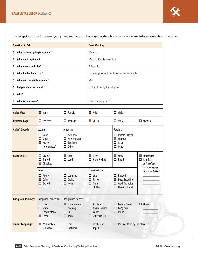The receptionist used the emergency preparedness flip book under the phone to collect some information about the caller.

| <b>Questions to Ask</b>           | <b>Exact Wording</b>                |  |
|-----------------------------------|-------------------------------------|--|
| 1. When is bomb going to explode? | 10a.m.                              |  |
| 2. Where is it right now?         | Machu Picchu exhibit                |  |
| 3. What does it look like?        | A bomb                              |  |
| 4. What kind of bomb is it?       | guess you will find out soon enough |  |
| 5. What will cause it to explode? | Me                                  |  |
| 6. Did you place the bomb?        | Not at liberty to tell you          |  |
| 7. Why?                           |                                     |  |
| 8. What is your name?             | The Shining Path                    |  |

| <b>Caller Was:</b>        | Male<br>П                                                                                                           | $\Box$ Female                                                                                          | $\blacksquare$ Adult                                                                   | $\Box$ Child                                                                                                                                                                                                                                                                                                   |                                                                         |
|---------------------------|---------------------------------------------------------------------------------------------------------------------|--------------------------------------------------------------------------------------------------------|----------------------------------------------------------------------------------------|----------------------------------------------------------------------------------------------------------------------------------------------------------------------------------------------------------------------------------------------------------------------------------------------------------------|-------------------------------------------------------------------------|
| <b>Estimated Age:</b>     | $\Box$ Pre-teen                                                                                                     | $\Box$ Teenage                                                                                         | $\Box$ 20-40                                                                           | $\Box$ 40-50                                                                                                                                                                                                                                                                                                   | $\Box$ Over 50                                                          |
| <b>Caller's Speech:</b>   | Accent:<br>None<br>П<br>Slight<br>□<br>Heavy<br>$\mathsf{L}$<br>(pronounced)                                        | American:<br>$\Box$ New York<br>New England<br>$\Box$<br>$\Box$ Southern<br>Other:                     |                                                                                        | Foreign:<br>$\Box$ Middle Eastern<br>Spanish<br>$\Box$<br>$\Box$ Asian<br>Other: and the control of the control of the control of the control of the control of the control of the control of the control of the control of the control of the control of the control of the control of the control of t<br>□. |                                                                         |
| <b>Caller's Voice:</b>    | <b>Distinct</b><br>П<br>Slurred<br>П.<br>Disguised<br>$\Box$                                                        | $\blacksquare$ Soft<br>$\Box$ Loud                                                                     | Deep<br>$\sim$<br>$\Box$ High-Pitched                                                  | Slow<br><b>The Second Second</b><br>$\Box$ Rapid                                                                                                                                                                                                                                                               | Unfamiliar<br><b>Tale</b><br>Familiar<br>□<br>If familiar,<br>whom does |
|                           | Tone:<br>Angry<br>□<br>Calm<br>П<br>$\Box$ Excited                                                                  | $\Box$ Laughing<br>$\Box$ Crying<br>$\Box$ Normal                                                      | Characteristics:<br>$\Box$ Lisp<br>$\Box$ Raspy<br>$\Box$ Nasal<br>$\Box$ Stutter      | $\Box$ Ragged<br>Deep Breathing<br>$\mathcal{L}_{\mathcal{A}}$<br>$\Box$ Crackling Voice<br>$\Box$ Clearing Throat                                                                                                                                                                                             | it sound like?                                                          |
| <b>Background Sounds:</b> | <b>Telephone Connection:</b><br>$\Box$ Clear<br><b>Static</b><br>П.<br><b>Long Distance</b><br>□<br>Local<br>$\Box$ | <b>Background Noises:</b><br>$\blacksquare$ Traffic-some<br>beeping<br>$\Box$ Bus<br>□<br><b>Train</b> | $\Box$ Airplane<br>$\Box$ Animal Noises<br>$\Box$ Voices<br><b>Office Noises</b><br>П. | $\Box$ Factory Noises<br>$\Box$ PA System<br>$\Box$ Music                                                                                                                                                                                                                                                      | $\Box$ Other:                                                           |
| <b>Threat Language:</b>   | Well Spoken<br>$\mathbb{R}^n$<br>(educated)                                                                         | $\Box$ Foul<br>□<br>Irrational                                                                         | $\Box$ Incoherent<br>$\Box$ Taped                                                      | □ Message Read by Threat Maker                                                                                                                                                                                                                                                                                 |                                                                         |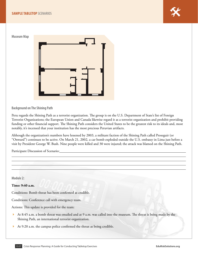#### **SAMPLE TABLETOP** SCENARIOS



**Museum Map**



**Background on The Shining Path**

Peru regards the Shining Path as a terrorist organization. The group is on the U.S. Department of State's list of Foreign Terrorist Organizations; the European Union and Canada likewise regard it as a terrorist organization and prohibit providing funding or other financial support. The Shining Path considers the United States to be the greatest risk to its ideals and, most notably, it's incensed that your institution has the most precious Peruvian artifacts.

Although the organization's numbers have lessened by 2003, a militant faction of the Shining Path called Proseguir (or "Onward") continues to be active. On March 21, 2002, a car bomb exploded outside the U.S. embassy in Lima just before a visit by President George W. Bush. Nine people were killed and 30 were injured; the attack was blamed on the Shining Path.

Participant Discussion of Scenario:

**Module 2:**

#### **Time: 9:40 a.m.**

Conditions: Bomb threat has been confirmed as credible.

Conditions: Conference call with emergency team.

Actions: This update is provided for the team:

- At 8:45 a.m. a bomb threat was emailed and at 9 a.m. was called into the museum. The threat is being made by the Shining Path, an international terrorist organization.
- At 9:20 a.m. the campus police confirmed the threat as being credible.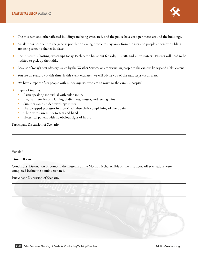

- $\blacktriangleright$  An alert has been sent to the general population asking people to stay away from the area and people at nearby buildings are being asked to shelter in place.
- ▶ The museum is hosting two camps today. Each camp has about 60 kids, 10 staff, and 20 volunteers. Parents will need to be notified to pick up their kids.
- Because of today's heat advisory issued by the Weather Service, we are evacuating people to the campus library and athletic arena.
- You are on stand-by at this time. If this event escalates, we will advise you of the next steps via an alert.
- We have a report of six people with minor injuries who are en route to the campus hospital.
- Types of injuries:
	- Asian-speaking individual with ankle injury
	- Pregnant female complaining of dizziness, nausea, and feeling faint
	- Summer camp student with eye injury
	- Handicapped professor in motorized wheelchair complaining of chest pain
	- Child with skin injury to arm and hand
	- Hysterical patient with no obvious signs of injury

Participant Discussion of Scenario:

**Module 3:**

#### **Time: 10 a.m.**

Conditions: Detonation of bomb in the museum at the Machu Picchu exhibit on the first floor. All evacuations were completed before the bomb detonated.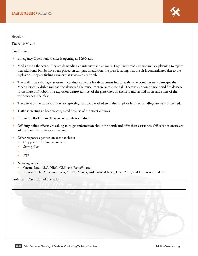

**Module 4:**

#### **Time: 10:30 a.m.**

Conditions:

- Emergency Operations Center is opening at 10:30 a.m.
- Media are on the scene. They are demanding an interview and answers. They have heard a rumor and are planning to report that additional bombs have been placed on campus. In addition, the press is stating that the air is contaminated due to the explosion. They are fueling rumors that it was a dirty bomb.
- The preliminary damage assessment conducted by the fire department indicates that the bomb severely damaged the Machu Picchu exhibit and has also damaged the museum store across the hall. There is also some smoke and fire damage to the museum's lobby. The explosion destroyed most of the glass cases on the first and second floors and some of the windows near the blast.
- The offices at the student union are reporting that people asked to shelter in place in other buildings are very distressed.
- Traffic is starting to become congested because of the street closures.
- Parents are flocking to the scene to get their children.
- 4 Off-duty police officers are calling in to get information about the bomb and offer their assistance. Officers not onsite are asking about the activities on scene.
- Other response agencies on scene include:
	- City police and fire departments
	- State police
	- FBI
	- ATF
- News Agencies
	- Onsite: local ABC, NBC, CBS, and Fox affiliates
	- En route: The Associated Press, CNN, Reuters, and national NBC, CBS, ABC, and Fox correspondents

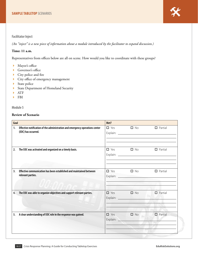#### **Facilitator Inject**

*(An "inject" is a new piece of information about a module introduced by the facilitator to expand discussion.)*

#### **Time: 11 a.m.**

Representatives from offices below are all on scene. How would you like to coordinate with these groups?

- $\blacktriangleright$  Mayor's office
- Governor's office
- $\blacktriangleright$  City police and fire
- 4 City office of emergency management
- $\blacktriangleright$  State police
- 4 State Department of Homeland Security
- $\blacktriangleright$  ATF
- 4 FBI

**Module 5**

#### **Review of Scenario**

| Goal |                                                                                                     | Met? |                                                 |                |
|------|-----------------------------------------------------------------------------------------------------|------|-------------------------------------------------|----------------|
| 1.   | Effective notification of the administration and emergency operations center<br>(EOC) has occurred. |      | $\Box$ Yes $\Box$ No                            | $\Box$ Partial |
| 2.   | The EOC was activated and organized on a timely basis.                                              |      | $\Box$ Yes $\Box$ No                            | $\Box$ Partial |
| 3.   | Effective communication has been established and maintained between<br>relevant parties.            |      | $\Box$ Yes $\Box$ No                            | $\Box$ Partial |
| 4.   | The EOC was able to organize objectives and support relevant parties.                               |      | $\Box$ Yes $\Box$ No                            | $\Box$ Partial |
| 5.   | A clear understanding of EOC role in the response was gained.                                       |      | $\Box$ Yes $\Box$ No<br>Explain: <u>example</u> | $\Box$ Partial |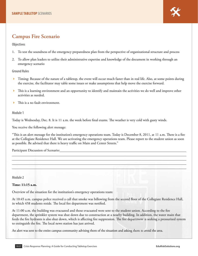

## <span id="page-18-0"></span>**Campus Fire Scenario**

**Objectives**

- 1. To test the soundness of the emergency preparedness plan from the perspective of organizational structure and process
- 2. To allow plan leaders to utilize their administrative expertise and knowledge of the document in working through an emergency scenario

#### **Ground Rules**

- 4 Timing: Because of the nature of a tabletop, the event will occur much faster than in real life. Also, at some points during the exercise, the facilitator may table some issues or make assumptions that help move the exercise forward.
- 4 This is a learning environment and an opportunity to identify and maintain the activities we do well and improve other activities as needed.
- $\blacktriangleright$  This is a no fault environment.

#### **Module 1**

Today is Wednesday, Dec. 8. It is 11 a.m. the week before final exams. The weather is very cold with gusty winds.

You receive the following alert message:

"This is an alert message for the institution's emergency operations team. Today is December 8, 2011, at 11 a.m. There is a fire at the Collegiate Residence Hall. We are activating the emergency operations team. Please report to the student union as soon as possible. Be advised that there is heavy traffic on Main and Center Streets."

Participant Discussion of Scenario:

**Module 2**

#### **Time: 11:15 a.m.**

Overview of the situation for the institution's emergency operations team:

At 10:45 a.m. campus police received a call that smoke was billowing from the second floor of the Collegiate Residence Hall, in which 458 students reside. The local fire department was notified.

At 11:00 a.m. the building was evacuated and those evacuated were sent to the student union. According to the fire department, the sprinkler system was shut down due to construction at a nearby building. In addition, the water main that feeds the fire hydrants is also shut down, which is affecting fire suppression. The fire department is seeking a pressurized system to extinguish the fire. The local news station has just arrived.

An alert was sent to the entire campus community advising them of the situation and asking them to avoid the area.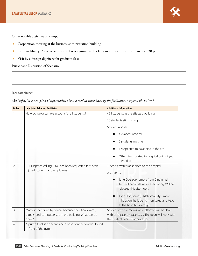

Other notable activities on campus:

- 4 Corporation meeting at the business administration building
- 4 Campus library: A conversation and book signing with a famous author from 1:30 p.m. to 3:30 p.m.
- 4 Visit by a foreign dignitary for graduate class

Participant Discussion of Scenario:

#### **Facilitator Inject**

*(An "inject" is a new piece of information about a module introduced by the facilitator to expand discussion.)*

| <b>Order</b>   | <b>Injects for Tabletop Facilitator</b>                                          | <b>Additional Information</b>                                                               |  |  |
|----------------|----------------------------------------------------------------------------------|---------------------------------------------------------------------------------------------|--|--|
|                | How do we or can we account for all students?                                    | 458 students at the affected building                                                       |  |  |
|                |                                                                                  | 18 students still missing                                                                   |  |  |
|                |                                                                                  | Student update:                                                                             |  |  |
|                |                                                                                  | 456 accounted for                                                                           |  |  |
|                |                                                                                  | 2 students missing                                                                          |  |  |
|                |                                                                                  | 1 suspected to have died in the fire                                                        |  |  |
|                |                                                                                  | Others transported to hospital but not yet<br>identified                                    |  |  |
| $\overline{2}$ | 911 Dispatch calling: "EMS has been requested for several                        | 4 people were transported to the hospital                                                   |  |  |
|                | injured students and employees."                                                 | 2 students                                                                                  |  |  |
|                |                                                                                  | Jane Doe, sophomore from Cincinnati.                                                        |  |  |
|                |                                                                                  | Twisted her ankle while evacuating. Will be<br>released this afternoon.                     |  |  |
|                |                                                                                  | John Doe, senior, Oklahoma City. Smoke<br>■                                                 |  |  |
|                |                                                                                  | inhalation; he is being monitored and kept<br>at the hospital overnight.                    |  |  |
| 3              | Many students are hysterical because their final exams,                          | Students whose rooms were affected will be dealt                                            |  |  |
|                | papers, and computers are in the building. What can be<br>done?                  | with on a case-by-case basis. The dean will work with<br>the students and their professors. |  |  |
| $\overline{4}$ | A pump truck is on scene and a hose connection was found<br>in front of the gym. |                                                                                             |  |  |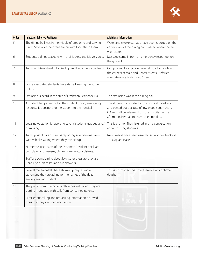| <b>Order</b>   | <b>Injects for Tabletop Facilitator</b>                                                                                             | <b>Additional Information</b>                                                                                                                                                                               |
|----------------|-------------------------------------------------------------------------------------------------------------------------------------|-------------------------------------------------------------------------------------------------------------------------------------------------------------------------------------------------------------|
| 5              | The dining hall was in the middle of preparing and serving<br>lunch. Several of the ovens are on with food still in them.           | Water and smoke damage have been reported on the<br>eastern side of the dining hall close to where the fire<br>was located.                                                                                 |
| 6              | Students did not evacuate with their jackets and it is very cold.                                                                   | Message came in from an emergency responder on<br>the ground.                                                                                                                                               |
| $\overline{7}$ | Traffic on Main Street is backed up and becoming a problem.                                                                         | Campus and local police have set up a barricade on<br>the corners of Main and Center Streets. Preferred<br>alternate route is via Broad Street.                                                             |
| 8              | Some evacuated students have started leaving the student<br>union.                                                                  |                                                                                                                                                                                                             |
| 9              | Explosion is heard in the area of Freshman Residence Hall.                                                                          | The explosion was in the dining hall.                                                                                                                                                                       |
| 10             | A student has passed out at the student union; emergency<br>response is transporting the student to the hospital.                   | The student transported to the hospital is diabetic<br>and passed out because of low blood sugar; she is<br>OK and will be released from the hospital by this<br>afternoon. Her parents have been notified. |
| 11             | Local news station is reporting several students trapped and/<br>or missing.                                                        | This is a rumor. They listened in on a conversation<br>about tracking students.                                                                                                                             |
| 12             | Traffic post at Broad Street is reporting several news crews<br>with vehicles asking where they can set up.                         | News media have been asked to set up their trucks at<br>York Square Place.                                                                                                                                  |
| 13             | Numerous occupants of the Freshman Residence Hall are<br>complaining of nausea, dizziness, respiratory distress.                    |                                                                                                                                                                                                             |
| 14             | Staff are complaining about low water pressure; they are<br>unable to flush toilets and run showers.                                |                                                                                                                                                                                                             |
| 15             | Several media outlets have shown up requesting a<br>statement; they are asking for the names of the dead<br>employees and students. | This is a rumor. At this time, there are no confirmed<br>deaths.                                                                                                                                            |
| 16             | The public communications office has just called; they are<br>getting inundated with calls from concerned parents.                  |                                                                                                                                                                                                             |
| 17             | Families are calling and requesting information on loved<br>ones that they are unable to contact.                                   |                                                                                                                                                                                                             |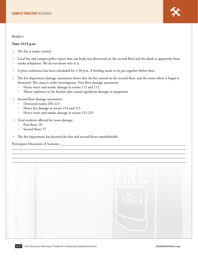

**Module 3**

#### **Time 12:15 p.m.**

- $\blacktriangleright$  The fire is under control.
- Local fire and campus police report that one body was discovered on the second floor and the death is apparently from smoke inhalation. We do not know who it is.
- 4 A press conference has been scheduled for 1:30 p.m. A briefing needs to be put together before then.
- The fire department damage assessment shows that the fire started on the second floor, and the room where it began is destroyed. The cause is under investigation. First floor damage assessment:
	- Heavy water and smoke damage in rooms 112 and 113
	- Minor explosion in the kitchen also caused significant damage to equipment
- 4 Second floor damage assessment:
	- Destroyed rooms 203-213
	- Heavy fire damage in rooms 214 and 215
	- Heavy water and smoke damage in rooms 215-225
- $\blacktriangleright$  Total students affected by room damage:
	- First floor: 39
	- Second floor: 57
- 4 The fire department has deemed the first and second floors uninhabitable.

Participant Discussion of Scenario: University of Alexander Alexander Alexander Alexander Alexander Alexander A

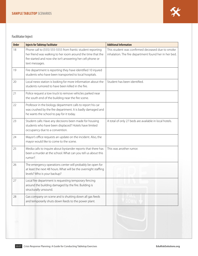### **Facilitator Inject**

| <b>Order</b> | <b>Injects for Tabletop Facilitator</b>                                                                                                                                                                    | <b>Additional Information</b>                                                                             |
|--------------|------------------------------------------------------------------------------------------------------------------------------------------------------------------------------------------------------------|-----------------------------------------------------------------------------------------------------------|
| 18           | Phone call to (555) 555-5555 from frantic student reporting<br>her friend was walking to her room around the time that the<br>fire started and now she isn't answering her cell phone or<br>text messages. | This student was confirmed deceased due to smoke<br>inhalation. The fire department found her in her bed. |
| 19           | Fire department is reporting they have identified 10 injured<br>students who have been transported to local hospitals.                                                                                     |                                                                                                           |
| 20           | Local news station is looking for more information about the<br>students rumored to have been killed in the fire.                                                                                          | Student has been identified.                                                                              |
| 21           | Police request a tow truck to remove vehicles parked near<br>the south end of the building near the fire scene.                                                                                            |                                                                                                           |
| 22           | Professor in the biology department calls to report his car<br>was crushed by the fire department. It is badly damaged and<br>he wants the school to pay for it today.                                     |                                                                                                           |
| 23           | Student calls: Have any decisions been made for housing<br>students who have been displaced? Hotels have limited<br>occupancy due to a convention.                                                         | A total of only 27 beds are available in local hotels.                                                    |
| 24           | Mayor's office requests an update on the incident. Also, the<br>mayor would like to come to the scene.                                                                                                     |                                                                                                           |
| 25           | Media calls to inquire about bystander reports that there has<br>been a murder at the school. What can you tell us about this<br>rumor?                                                                    | This was another rumor.                                                                                   |
| 26           | The emergency operations center will probably be open for<br>at least the next 48 hours. What will be the overnight staffing<br>levels? Who is your backup?                                                |                                                                                                           |
| 27           | Local fire department is requesting temporary fencing<br>around the building damaged by the fire. Building is<br>structurally unsound.                                                                     |                                                                                                           |
| 28           | Gas company on scene and is shutting down all gas feeds<br>and temporarily shuts down feeds to the power plant.                                                                                            |                                                                                                           |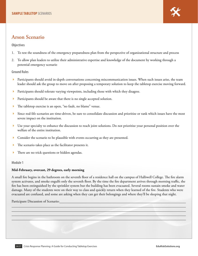

## <span id="page-23-0"></span>**Arson Scenario**

**Objectives**

- 1. To test the soundness of the emergency preparedness plan from the perspective of organizational structure and process
- 2. To allow plan leaders to utilize their administrative expertise and knowledge of the document by working through a potential emergency scenario

#### **Ground Rules**

- Participants should avoid in-depth conversations concerning miscommunication issues. When such issues arise, the team leader should ask the group to move on after proposing a temporary solution to keep the tabletop exercise moving forward.
- Participants should tolerate varying viewpoints, including those with which they disagree.
- Participants should be aware that there is no single accepted solution.
- The tabletop exercise is an open, "no fault, no blame" venue.
- Since real-life scenarios are time-driven, be sure to consolidate discussion and prioritize or rank which issues have the most severe impact on the institution.
- Use your specialty to enhance the discussion to reach joint solutions. Do not prioritize your personal position over the welfare of the entire institution.
- Consider the scenario to be plausible with events occurring as they are presented.
- The scenario takes place as the facilitator presents it.
- There are no trick questions or hidden agendas.

#### **Module 1**

#### **Mid-February, overcast, 29 degrees, early morning**

A small fire begins in the bathroom on the seventh floor of a residence hall on the campus of Halliwell College. The fire alarm system activates, and smoke engulfs only the seventh floor. By the time the fire department arrives through morning traffic, the fire has been extinguished by the sprinkler system but the building has been evacuated. Several rooms sustain smoke and water damage. Many of the students were on their way to class and quickly return when they learned of the fire. Students who were evacuated are confused, and some are asking when they can get their belongings and where they'll be sleeping that night.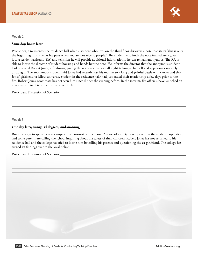

#### **Same day, hours later**

People begin to re-enter the residence hall when a student who lives on the third floor discovers a note that states "this is only the beginning, this is what happens when you are not nice to people." The student who finds the note immediately gives it to a resident assistant (RA) and tells him he will provide additional information if he can remain anonymous. The RA is able to locate the director of student housing and hands her the note. He informs the director that the anonymous student had observed Robert Jones, a freshman, pacing the residence hallway all night talking to himself and appearing extremely distraught. The anonymous student said Jones had recently lost his mother to a long and painful battle with cancer and that Jones' girlfriend (a fellow university student in the residence hall) had just ended their relationship a few days prior to the fire. Robert Jones' roommate has not seen him since dinner the evening before. In the interim, fire officials have launched an investigation to determine the cause of the fire.

Participant Discussion of Scenario: Charles Contains and Discussion of Scenario:

**Module 3**

#### **One day later, sunny, 34 degrees, mid-morning**

Rumors begin to spread across campus of an arsonist on the loose. A sense of anxiety develops within the student population, and some parents are calling the school inquiring about the safety of their children. Robert Jones has not returned to his residence hall and the college has tried to locate him by calling his parents and questioning the ex-girlfriend. The college has turned its findings over to the local police.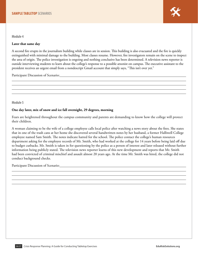

**Module 4**

#### **Later that same day**

A second fire erupts in the journalism building while classes are in session. This building is also evacuated and the fire is quickly extinguished with minimal damage to the building. Most classes resume. However, fire investigators remain on the scene to inspect the area of origin. The police investigation is ongoing and nothing conclusive has been determined. A television news reporter is outside interviewing students to learn about the college's response to a possible arsonist on campus. The executive assistant to the president receives an urgent email from a nondescript Gmail account that simply says, "This isn't over yet."

Participant Discussion of Scenario:

**Module 5**

#### **One day later, mix of snow and ice fall overnight, 29 degrees, morning**

Fears are heightened throughout the campus community and parents are demanding to know how the college will protect their children.

A woman claiming to be the wife of a college employee calls local police after watching a news story about the fires. She states that in one of the trash cans at her home she discovered several handwritten notes by her husband, a former Halliwell College employee named Sam Smith. The notes indicate hatred for the school. The police contact the college's human resources department asking for the employee records of Mr. Smith, who had worked at the college for 14 years before being laid off due to budget cutbacks. Mr. Smith is taken in for questioning by the police as a person of interest and later released without further information being publicly stated. The television news reporter learns of this new development and reports that Mr. Smith had been convicted of criminal mischief and assault almost 20 years ago. At the time Mr. Smith was hired, the college did not conduct background checks.